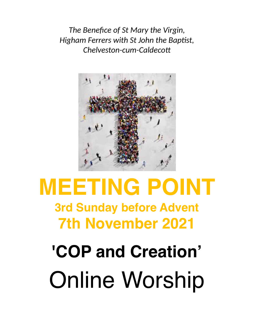*The Benefice of St Mary the Virgin, Higham Ferrers with St John the Baptist, Chelveston-cum-Caldecott*



# **MEETING POINT 3rd Sunday before Advent 7th November 2021**

# **'COP and Creation'**  Online Worship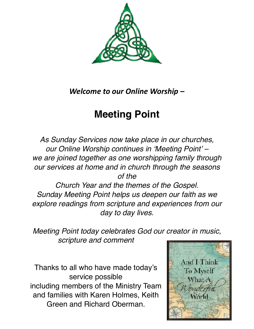

#### *Welcome to our Online Worship –*

## **Meeting Point**

*As Sunday Services now take place in our churches, our Online Worship continues in 'Meeting Point' – we are joined together as one worshipping family through our services at home and in church through the seasons of the* 

*Church Year and the themes of the Gospel. Sunday Meeting Point helps us deepen our faith as we explore readings from scripture and experiences from our day to day lives.*

*Meeting Point today celebrates God our creator in music, scripture and comment* 

Thanks to all who have made today's service possible including members of the Ministry Team and families with Karen Holmes, Keith Green and Richard Oberman.

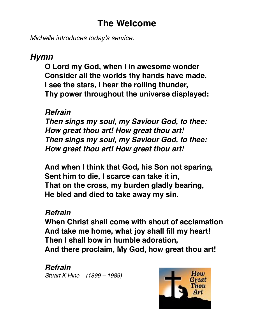### **The Welcome**

*Michelle introduces today's service.*

#### *Hymn*

**O Lord my God, when I in awesome wonder Consider all the worlds thy hands have made, I see the stars, I hear the rolling thunder, Thy power throughout the universe displayed:** 

#### *Refrain*

*Then sings my soul, my Saviour God, to thee: How great thou art! How great thou art! Then sings my soul, my Saviour God, to thee: How great thou art! How great thou art!* 

**And when I think that God, his Son not sparing, Sent him to die, I scarce can take it in, That on the cross, my burden gladly bearing, He bled and died to take away my sin.** 

#### *Refrain*

**When Christ shall come with shout of acclamation And take me home, what joy shall fill my heart! Then I shall bow in humble adoration, And there proclaim, My God, how great thou art!**

#### *Refrain*

*Stuart K Hine (1899 – 1989)* 

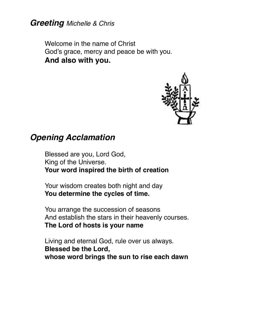*Greeting Michelle & Chris* 

Welcome in the name of Christ God's grace, mercy and peace be with you. **And also with you.** 



#### *Opening Acclamation*

Blessed are you, Lord God, King of the Universe. **Your word inspired the birth of creation** 

Your wisdom creates both night and day **You determine the cycles of time.** 

You arrange the succession of seasons And establish the stars in their heavenly courses. **The Lord of hosts is your name** 

Living and eternal God, rule over us always. **Blessed be the Lord, whose word brings the sun to rise each dawn**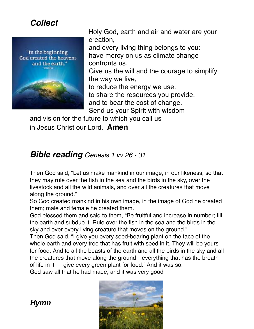#### *Collect*



Holy God, earth and air and water are your creation, and every living thing belongs to you: have mercy on us as climate change confronts us. Give us the will and the courage to simplify the way we live, to reduce the energy we use, to share the resources you provide, and to bear the cost of change. Send us your Spirit with wisdom

and vision for the future to which you call us in Jesus Christ our Lord. **Amen**

#### *Bible reading Genesis 1 vv 26 - 31*

Then God said, "Let us make mankind in our image, in our likeness, so that they may rule over the fish in the sea and the birds in the sky, over the livestock and all the wild animals, and over all the creatures that move along the ground."

So God created mankind in his own image, in the image of God he created them; male and female he created them.

God blessed them and said to them, "Be fruitful and increase in number; fill the earth and subdue it. Rule over the fish in the sea and the birds in the sky and over every living creature that moves on the ground."

Then God said, "I give you every seed-bearing plant on the face of the whole earth and every tree that has fruit with seed in it. They will be yours for food. And to all the beasts of the earth and all the birds in the sky and all the creatures that move along the ground—everything that has the breath of life in it—I give every green plant for food." And it was so.

God saw all that he had made, and it was very good



*Hymn*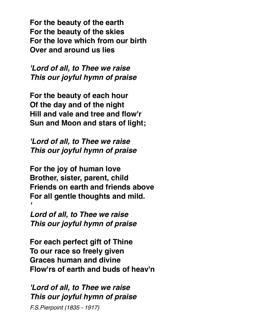**For the beauty of the earth For the beauty of the skies For the love which from our birth Over and around us lies** 

*'Lord of all, to Thee we raise This our joyful hymn of praise* 

**For the beauty of each hour Of the day and of the night Hill and vale and tree and flow'r Sun and Moon and stars of light;** 

*'Lord of all, to Thee we raise This our joyful hymn of praise* 

**For the joy of human love Brother, sister, parent, child Friends on earth and friends above For all gentle thoughts and mild.**  *'* 

*Lord of all, to Thee we raise This our joyful hymn of praise* 

**For each perfect gift of Thine To our race so freely given Graces human and divine Flow'rs of earth and buds of heav'n** 

*'Lord of all, to Thee we raise This our joyful hymn of praise F.S.Pierpoint (1835 - 1917)*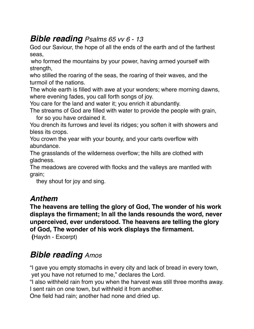#### *Bible reading Psalms 65 vv 6 - 13*

God our Saviour, the hope of all the ends of the earth and of the farthest seas,

who formed the mountains by your power, having armed yourself with strength,

who stilled the roaring of the seas, the roaring of their waves, and the turmoil of the nations.

The whole earth is filled with awe at your wonders; where morning dawns, where evening fades, you call forth songs of joy.

You care for the land and water it; you enrich it abundantly.

The streams of God are filled with water to provide the people with grain, for so you have ordained it.

You drench its furrows and level its ridges; you soften it with showers and bless its crops.

You crown the year with your bounty, and your carts overflow with abundance.

The grasslands of the wilderness overflow; the hills are clothed with gladness.

The meadows are covered with flocks and the valleys are mantled with grain;

they shout for joy and sing.

#### *Anthem*

**The heavens are telling the glory of God, The wonder of his work displays the firmament; In all the lands resounds the word, never unperceived, ever understood. The heavens are telling the glory of God, The wonder of his work displays the firmament.** 

 **(**Haydn - Excerpt)

#### *Bible reading Amos*

"I gave you empty stomachs in every city and lack of bread in every town, yet you have not returned to me," declares the Lord.

"I also withheld rain from you when the harvest was still three months away. I sent rain on one town, but withheld it from another.

One field had rain; another had none and dried up.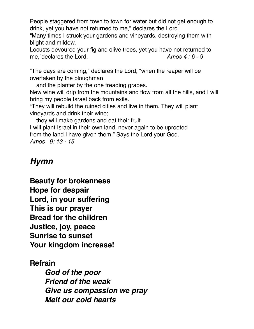People staggered from town to town for water but did not get enough to drink, yet you have not returned to me," declares the Lord.

"Many times I struck your gardens and vineyards, destroying them with blight and mildew.

Locusts devoured your fig and olive trees, yet you have not returned to me,"declares the Lord. *Amos 4 : 6 - 9*

"The days are coming," declares the Lord, "when the reaper will be overtaken by the ploughman

and the planter by the one treading grapes.

New wine will drip from the mountains and flow from all the hills, and I will bring my people Israel back from exile.

"They will rebuild the ruined cities and live in them. They will plant vineyards and drink their wine;

they will make gardens and eat their fruit.

I will plant Israel in their own land, never again to be uprooted from the land I have given them," Says the Lord your God. *Amos 9: 13 - 15* 

#### *Hymn*

**Beauty for brokenness Hope for despair Lord, in your suffering This is our prayer Bread for the children Justice, joy, peace Sunrise to sunset Your kingdom increase!** 

**Refrain** 

*God of the poor Friend of the weak Give us compassion we pray Melt our cold hearts*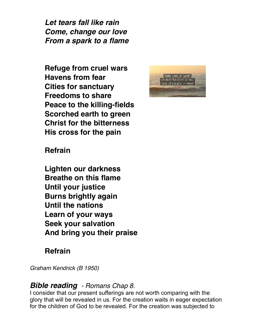*Let tears fall like rain Come, change our love From a spark to a flame* 

**Refuge from cruel wars Havens from fear Cities for sanctuary Freedoms to share Peace to the killing-fields Scorched earth to green Christ for the bitterness His cross for the pain** 



**Refrain** 

**Lighten our darkness Breathe on this flame Until your justice Burns brightly again Until the nations Learn of your ways Seek your salvation And bring you their praise** 

#### **Refrain**

*Graham Kendrick (B 1950)* 

#### *Bible reading - Romans Chap 8.*

I consider that our present sufferings are not worth comparing with the glory that will be revealed in us. For the creation waits in eager expectation for the children of God to be revealed. For the creation was subjected to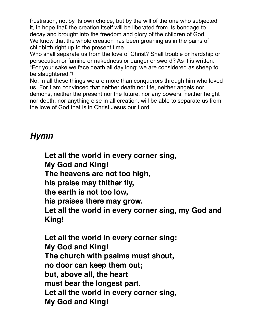frustration, not by its own choice, but by the will of the one who subjected it, in hope that the creation itself will be liberated from its bondage to decay and brought into the freedom and glory of the children of God. We know that the whole creation has been groaning as in the pains of childbirth right up to the present time.

Who shall separate us from the love of Christ? Shall trouble or hardship or persecution or famine or nakedness or danger or sword? As it is written: "For your sake we face death all day long; we are considered as sheep to be slaughtered."]

No, in all these things we are more than conquerors through him who loved us. For I am convinced that neither death nor life, neither angels nor demons, neither the present nor the future, nor any powers, neither height nor depth, nor anything else in all creation, will be able to separate us from the love of God that is in Christ Jesus our Lord.

#### *Hymn*

**Let all the world in every corner sing, My God and King! The heavens are not too high, his praise may thither fly, the earth is not too low, his praises there may grow. Let all the world in every corner sing, my God and King!**

**Let all the world in every corner sing: My God and King! The church with psalms must shout, no door can keep them out; but, above all, the heart must bear the longest part. Let all the world in every corner sing, My God and King!**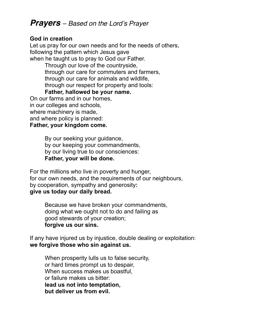#### *Prayers – Based on the Lord's Prayer*

#### **God in creation**

Let us pray for our own needs and for the needs of others, following the pattern which Jesus gave when he taught us to pray to God our Father. Through our love of the countryside, through our care for commuters and farmers, through our care for animals and wildlife, through our respect for property and tools: **Father, hallowed be your name.** On our farms and in our homes, in our colleges and schools, where machinery is made,

and where policy is planned:

#### **Father, your kingdom come.**

By our seeking your guidance, by our keeping your commandments, by our living true to our consciences: **Father, your will be done.**

For the millions who live in poverty and hunger, for our own needs, and the requirements of our neighbours, by cooperation, sympathy and generosity**: give us today our daily bread.**

Because we have broken your commandments, doing what we ought not to do and failing as good stewards of your creation; **forgive us our sins.**

If any have injured us by injustice, double dealing or exploitation: **we forgive those who sin against us.**

When prosperity lulls us to false security, or hard times prompt us to despair, When success makes us boastful, or failure makes us bitter: **lead us not into temptation, but deliver us from evil.**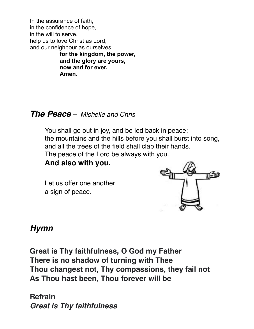In the assurance of faith, in the confidence of hope, in the will to serve, help us to love Christ as Lord, and our neighbour as ourselves. **for the kingdom, the power,**

**and the glory are yours, now and for ever. Amen.**

#### *The Peace* **–** *Michelle and Chris*

You shall go out in joy, and be led back in peace; the mountains and the hills before you shall burst into song, and all the trees of the field shall clap their hands. The peace of the Lord be always with you.

#### **And also with you.**

Let us offer one another a sign of peace.



#### *Hymn*

**Great is Thy faithfulness, O God my Father There is no shadow of turning with Thee Thou changest not, Thy compassions, they fail not As Thou hast been, Thou forever will be** 

**Refrain**  *Great is Thy faithfulness*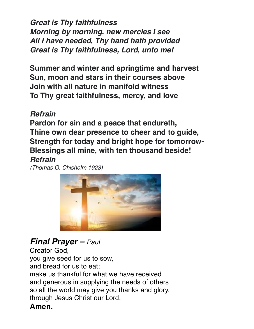*Great is Thy faithfulness Morning by morning, new mercies I see All I have needed, Thy hand hath provided Great is Thy faithfulness, Lord, unto me!* 

**Summer and winter and springtime and harvest Sun, moon and stars in their courses above Join with all nature in manifold witness To Thy great faithfulness, mercy, and love** 

#### *Refrain*

**Pardon for sin and a peace that endureth, Thine own dear presence to cheer and to guide, Strength for today and bright hope for tomorrow-Blessings all mine, with ten thousand beside!**  *Refrain* 

*(Thomas O. Chisholm 1923)*



#### *Final Prayer – Paul*

Creator God, you give seed for us to sow, and bread for us to eat; make us thankful for what we have received and generous in supplying the needs of others so all the world may give you thanks and glory, through Jesus Christ our Lord. **Amen.**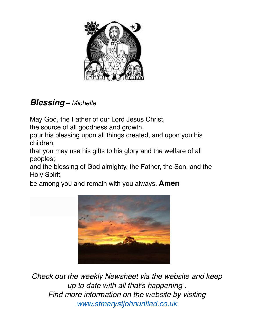

#### *Blessing* **–** *Michelle*

May God, the Father of our Lord Jesus Christ,

the source of all goodness and growth,

pour his blessing upon all things created, and upon you his children,

that you may use his gifts to his glory and the welfare of all peoples;

and the blessing of God almighty, the Father, the Son, and the Holy Spirit,

be among you and remain with you always. **Amen**



*Check out the weekly Newsheet via the website and keep up to date with all that's happening . Find more information on the website by visiting [www.stmarystjohnunited.co.uk](http://www.stmarystjohnunited.co.uk)*